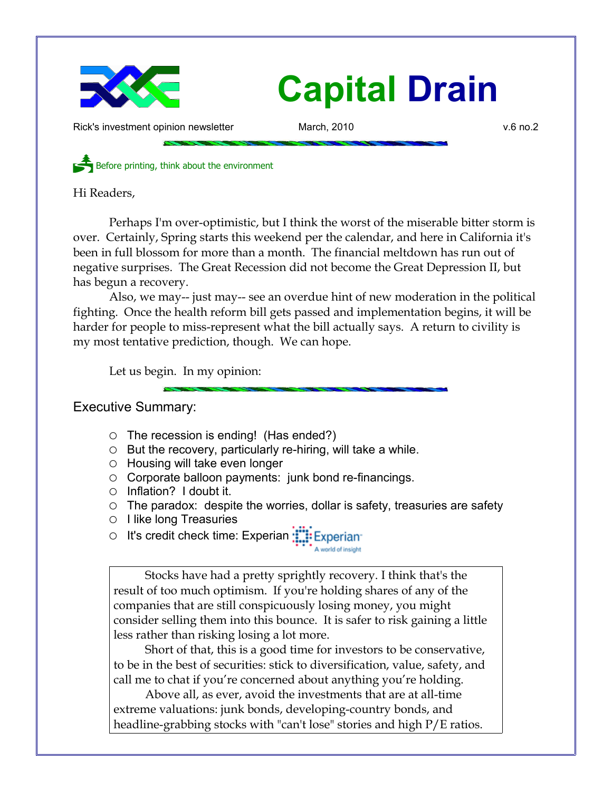

# **Capital Drain**

Rick's investment opinion newsletter March, 2010 **March, 2010** v.6 no.2

Before printing, think about the environment

Hi Readers,

Perhaps I'm over-optimistic, but I think the worst of the miserable bitter storm is over. Certainly, Spring starts this weekend per the calendar, and here in California it's been in full blossom for more than a month. The financial meltdown has run out of negative surprises. The Great Recession did not become the Great Depression II, but has begun a recovery.

Also, we may-- just may-- see an overdue hint of new moderation in the political fighting. Once the health reform bill gets passed and implementation begins, it will be harder for people to miss-represent what the bill actually says. A return to civility is my most tentative prediction, though. We can hope.

Let us begin. In my opinion:

## Executive Summary:

- $\circ$  The recession is ending! (Has ended?)
- $\circ$  But the recovery, particularly re-hiring, will take a while.
- $\circ$  Housing will take even longer
- Corporate balloon payments: junk bond re-financings.
- Inflation? I doubt it.
- The paradox: despite the worries, dollar is safety, treasuries are safety

A world of insight

- I like long Treasuries
- It's credit check time: Experian ::::: Experian

Stocks have had a pretty sprightly recovery. I think that's the result of too much optimism. If you're holding shares of any of the companies that are still conspicuously losing money, you might consider selling them into this bounce. It is safer to risk gaining a little less rather than risking losing a lot more.

Short of that, this is a good time for investors to be conservative, to be in the best of securities: stick to diversification, value, safety, and call me to chat if you're concerned about anything you're holding.

Above all, as ever, avoid the investments that are at all-time extreme valuations: junk bonds, developing-country bonds, and headline-grabbing stocks with "can't lose" stories and high P/E ratios.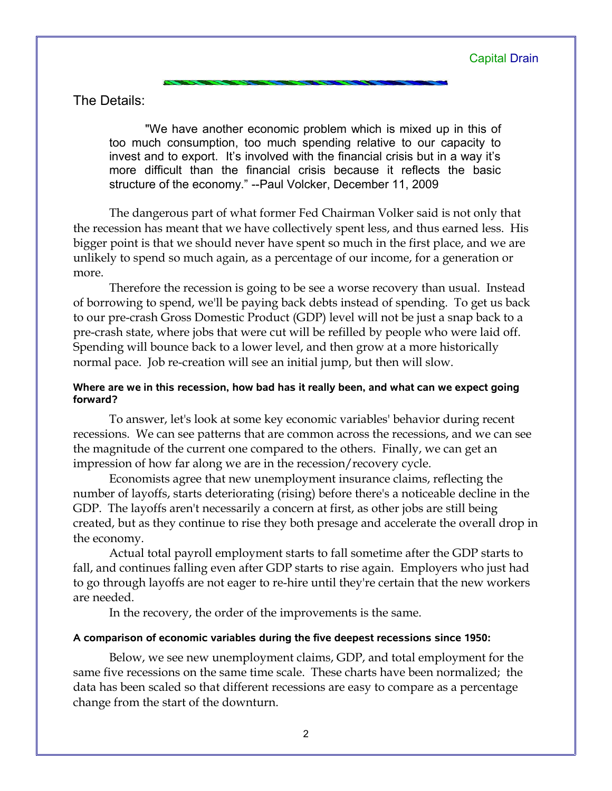The Details:

"We have another economic problem which is mixed up in this of too much consumption, too much spending relative to our capacity to invest and to export. It's involved with the financial crisis but in a way it's more difficult than the financial crisis because it reflects the basic structure of the economy." --Paul Volcker, December 11, 2009

The dangerous part of what former Fed Chairman Volker said is not only that the recession has meant that we have collectively spent less, and thus earned less. His bigger point is that we should never have spent so much in the first place, and we are unlikely to spend so much again, as a percentage of our income, for a generation or more.

Therefore the recession is going to be see a worse recovery than usual. Instead of borrowing to spend, we'll be paying back debts instead of spending. To get us back to our pre-crash Gross Domestic Product (GDP) level will not be just a snap back to a pre-crash state, where jobs that were cut will be refilled by people who were laid off. Spending will bounce back to a lower level, and then grow at a more historically normal pace. Job re-creation will see an initial jump, but then will slow.

### **Where are we in this recession, how bad has it really been, and what can we expect going forward?**

To answer, let's look at some key economic variables' behavior during recent recessions. We can see patterns that are common across the recessions, and we can see the magnitude of the current one compared to the others. Finally, we can get an impression of how far along we are in the recession/recovery cycle.

Economists agree that new unemployment insurance claims, reflecting the number of layoffs, starts deteriorating (rising) before there's a noticeable decline in the GDP. The layoffs aren't necessarily a concern at first, as other jobs are still being created, but as they continue to rise they both presage and accelerate the overall drop in the economy.

Actual total payroll employment starts to fall sometime after the GDP starts to fall, and continues falling even after GDP starts to rise again. Employers who just had to go through layoffs are not eager to re-hire until they're certain that the new workers are needed.

In the recovery, the order of the improvements is the same.

#### **A comparison of economic variables during the five deepest recessions since 1950:**

Below, we see new unemployment claims, GDP, and total employment for the same five recessions on the same time scale. These charts have been normalized; the data has been scaled so that different recessions are easy to compare as a percentage change from the start of the downturn.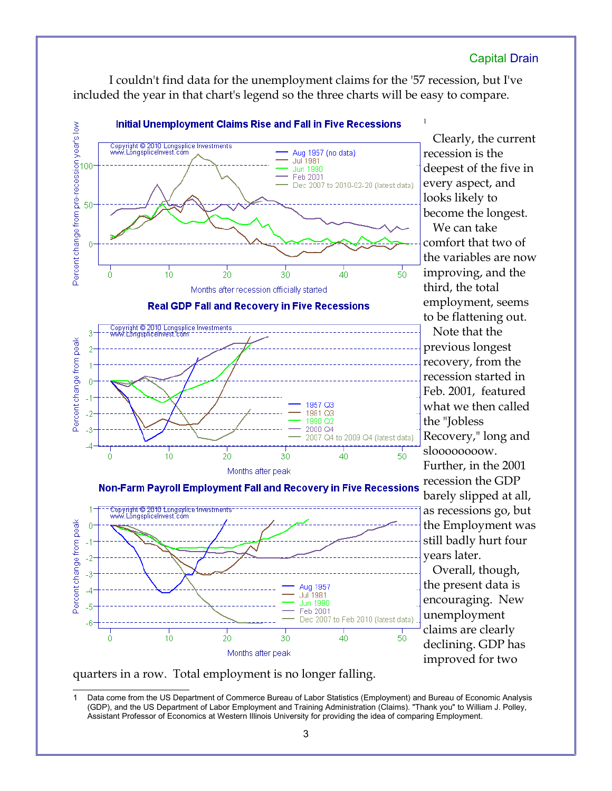## Capital Drain

I couldn't find data for the unemployment claims for the '57 recession, but I've included the year in that chart's legend so the three charts will be easy to compare.



recession is the deepest of the five in every aspect, and looks likely to become the longest. We can take comfort that two of the variables are now improving, and the third, the total employment, seems to be flattening out. Note that the previous longest

recovery, from the recession started in Feb. 2001, featured what we then called the "Jobless Recovery," long and sloooooooow. Further, in the 2001 recession the GDP barely slipped at all, as recessions go, but the Employment was still badly hurt four years later.

Overall, though, the present data is encouraging. New unemployment claims are clearly declining. GDP has improved for two



<span id="page-2-0"></span>Data come from the US Department of Commerce Bureau of Labor Statistics (Employment) and Bureau of Economic Analysis (GDP), and the US Department of Labor Employment and Training Administration (Claims). "Thank you" to William J. Polley, Assistant Professor of Economics at Western Illinois University for providing the idea of comparing Employment.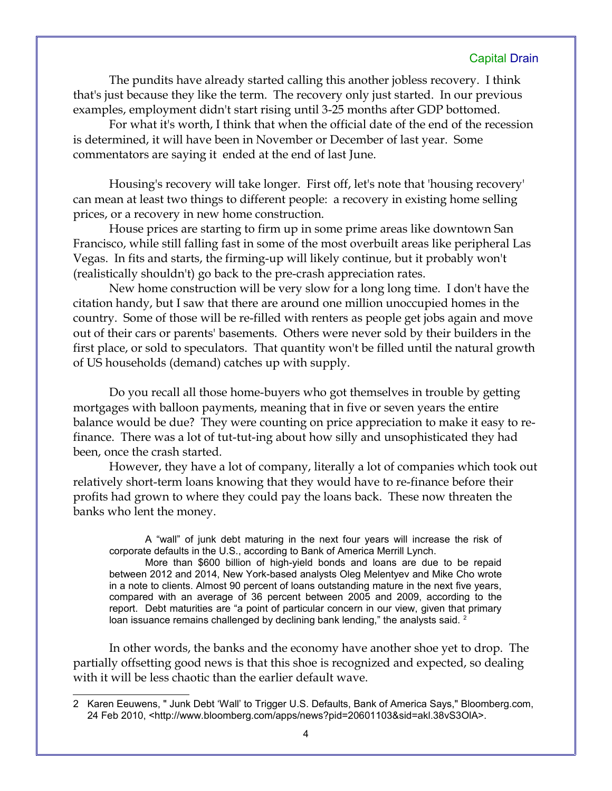## Capital Drain

The pundits have already started calling this another jobless recovery. I think that's just because they like the term. The recovery only just started. In our previous examples, employment didn't start rising until 3-25 months after GDP bottomed.

For what it's worth, I think that when the official date of the end of the recession is determined, it will have been in November or December of last year. Some commentators are saying it ended at the end of last June.

Housing's recovery will take longer. First off, let's note that 'housing recovery' can mean at least two things to different people: a recovery in existing home selling prices, or a recovery in new home construction.

House prices are starting to firm up in some prime areas like downtown San Francisco, while still falling fast in some of the most overbuilt areas like peripheral Las Vegas. In fits and starts, the firming-up will likely continue, but it probably won't (realistically shouldn't) go back to the pre-crash appreciation rates.

New home construction will be very slow for a long long time. I don't have the citation handy, but I saw that there are around one million unoccupied homes in the country. Some of those will be re-filled with renters as people get jobs again and move out of their cars or parents' basements. Others were never sold by their builders in the first place, or sold to speculators. That quantity won't be filled until the natural growth of US households (demand) catches up with supply.

Do you recall all those home-buyers who got themselves in trouble by getting mortgages with balloon payments, meaning that in five or seven years the entire balance would be due? They were counting on price appreciation to make it easy to refinance. There was a lot of tut-tut-ing about how silly and unsophisticated they had been, once the crash started.

However, they have a lot of company, literally a lot of companies which took out relatively short-term loans knowing that they would have to re-finance before their profits had grown to where they could pay the loans back. These now threaten the banks who lent the money.

A "wall" of junk debt maturing in the next four years will increase the risk of corporate defaults in the U.S., according to Bank of America Merrill Lynch.

More than \$600 billion of high-yield bonds and loans are due to be repaid between 2012 and 2014, New York-based analysts Oleg Melentyev and Mike Cho wrote in a note to clients. Almost 90 percent of loans outstanding mature in the next five years, compared with an average of 36 percent between 2005 and 2009, according to the report. Debt maturities are "a point of particular concern in our view, given that primary loan issuance remains challenged by declining bank lending," the analysts said. <sup>[2](#page-3-0)</sup>

In other words, the banks and the economy have another shoe yet to drop. The partially offsetting good news is that this shoe is recognized and expected, so dealing with it will be less chaotic than the earlier default wave.

<span id="page-3-0"></span><sup>2</sup> Karen Eeuwens, " Junk Debt 'Wall' to Trigger U.S. Defaults, Bank of America Says," Bloomberg.com, 24 Feb 2010, <http://www.bloomberg.com/apps/news?pid=20601103&sid=akl.38vS3OIA>.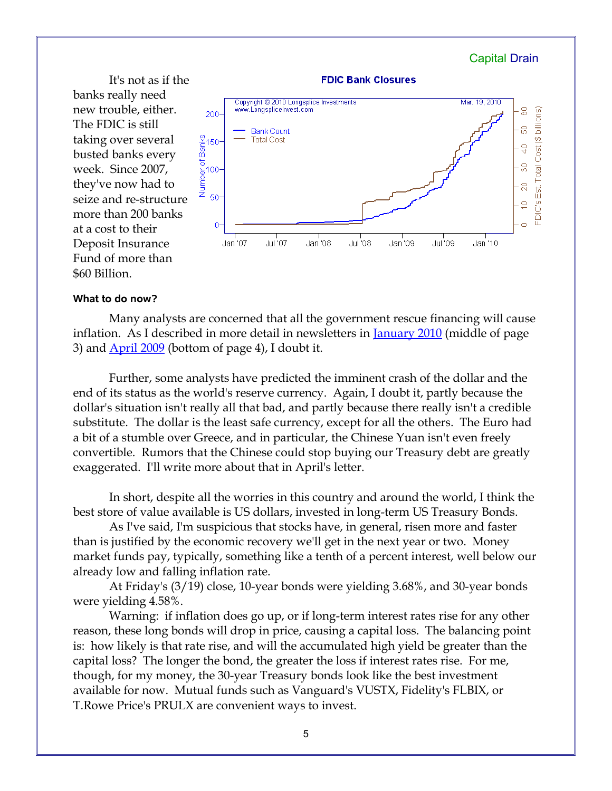

#### **What to do now?**

\$60 Billion.

Many analysts are concerned that all the government rescue financing will cause inflation. As I described in more detail in newsletters in [January 2010](http://www.longspliceinvest.com/CapDrain/CapDrain_v6n1.pdf) (middle of page 3) and [April 2009](http://www.longspliceinvest.com/CapDrain/CapDrain_v5n2.pdf) (bottom of page 4), I doubt it.

Further, some analysts have predicted the imminent crash of the dollar and the end of its status as the world's reserve currency. Again, I doubt it, partly because the dollar's situation isn't really all that bad, and partly because there really isn't a credible substitute. The dollar is the least safe currency, except for all the others. The Euro had a bit of a stumble over Greece, and in particular, the Chinese Yuan isn't even freely convertible. Rumors that the Chinese could stop buying our Treasury debt are greatly exaggerated. I'll write more about that in April's letter.

In short, despite all the worries in this country and around the world, I think the best store of value available is US dollars, invested in long-term US Treasury Bonds.

As I've said, I'm suspicious that stocks have, in general, risen more and faster than is justified by the economic recovery we'll get in the next year or two. Money market funds pay, typically, something like a tenth of a percent interest, well below our already low and falling inflation rate.

At Friday's (3/19) close, 10-year bonds were yielding 3.68%, and 30-year bonds were yielding 4.58%.

Warning: if inflation does go up, or if long-term interest rates rise for any other reason, these long bonds will drop in price, causing a capital loss. The balancing point is: how likely is that rate rise, and will the accumulated high yield be greater than the capital loss? The longer the bond, the greater the loss if interest rates rise. For me, though, for my money, the 30-year Treasury bonds look like the best investment available for now. Mutual funds such as Vanguard's VUSTX, Fidelity's FLBIX, or T.Rowe Price's PRULX are convenient ways to invest.